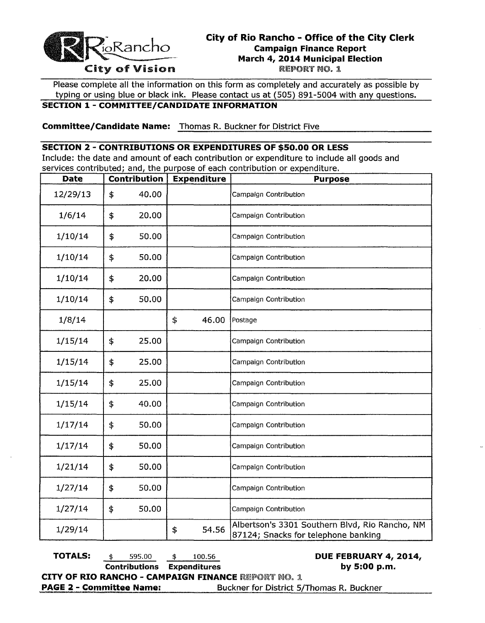

## City of Rio Rancho - Office of the City Clerk Campaign Finance Report March 4, 2014 Municipal Election<br>REPORT NO. 1

Please complete all the information on this form as completely and accurately as possible by typing or using blue or black ink. Please contact us at (505) 891-5004 with any questions.

## SECTION 1 - COMMITTEE/CANDIDATE INFORMATION

Committee/Candidate Name: Thomas R. Buckner for District Five

### SECTION 2 - CONTRIBUTIONS OR EXPENDITURES OF \$50.00 OR LESS

Include: the date and amount of each contribution or expenditure to include all goods and services contributed; and, the purpose of each contribution or expenditure.

| <b>Date</b> | <b>Contribution</b> | <b>Expenditure</b> | <b>Purpose</b>                                                                        |
|-------------|---------------------|--------------------|---------------------------------------------------------------------------------------|
| 12/29/13    | \$<br>40.00         |                    | Campaign Contribution                                                                 |
| 1/6/14      | \$<br>20.00         |                    | Campaign Contribution                                                                 |
| 1/10/14     | \$<br>50.00         |                    | Campaign Contribution                                                                 |
| 1/10/14     | \$<br>50.00         |                    | Campaign Contribution                                                                 |
| 1/10/14     | \$<br>20.00         |                    | Campaign Contribution                                                                 |
| 1/10/14     | \$<br>50.00         |                    | Campaign Contribution                                                                 |
| 1/8/14      |                     | \$<br>46.00        | Postage                                                                               |
| 1/15/14     | \$<br>25.00         |                    | Campaign Contribution                                                                 |
| 1/15/14     | \$<br>25.00         |                    | Campaign Contribution                                                                 |
| 1/15/14     | \$<br>25.00         |                    | Campaign Contribution                                                                 |
| 1/15/14     | \$<br>40.00         |                    | Campaign Contribution                                                                 |
| 1/17/14     | \$<br>50.00         |                    | Campaign Contribution                                                                 |
| 1/17/14     | \$<br>50.00         |                    | Campaign Contribution                                                                 |
| 1/21/14     | \$<br>50.00         |                    | Campaign Contribution                                                                 |
| 1/27/14     | \$<br>50.00         |                    | Campaign Contribution                                                                 |
| 1/27/14     | \$<br>50.00         |                    | Campaign Contribution                                                                 |
| 1/29/14     |                     | \$<br>54.56        | Albertson's 3301 Southern Blvd, Rio Rancho, NM<br>87124; Snacks for telephone banking |

**TOTALS:**  $\frac{1}{3}$  595.00  $\frac{1}{3}$  100.56 **DUE FEBRUARY 4, 2014,** Contributions Expenditures by 5:00 p.m. CITY OF RIO RANCHO - CAMPAIGN FINANCE REPORT NO. 1 PAGE 2 - Committee Name: Buckner for District 5/Thomas R. Buckner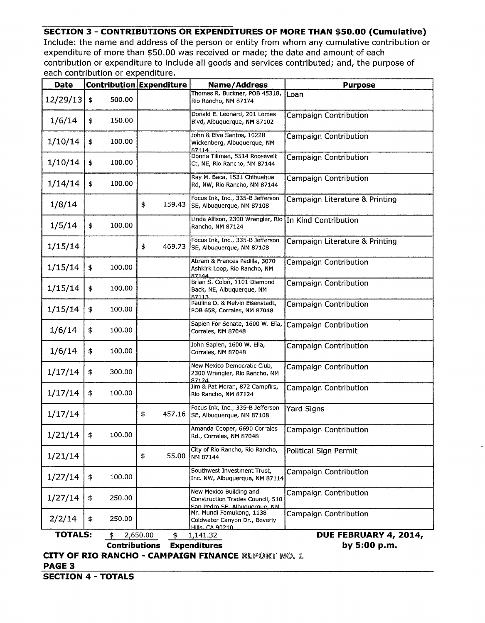### **SECTION 3 - CONTRIBUTIONS OR EXPENDITURES OF MORE THAN \$50.00 (Cumulative)**

Include: the name and address of the person or entity from whom any cumulative contribution or expenditure of more than \$50.00 was received or made; the date and amount of each contribution or expenditure to include all goods and services contributed; and, the purpose of each contribution or expenditure.

| <b>Date</b>    |                      | <b>Contribution Expenditure</b> | <b>Name/Address</b>                                                                           | <b>Purpose</b>                 |  |
|----------------|----------------------|---------------------------------|-----------------------------------------------------------------------------------------------|--------------------------------|--|
| 12/29/13       | 500.00<br>\$         |                                 | Thomas R. Buckner, POB 45318,<br>Rio Rancho, NM 87174                                         | Loan                           |  |
| 1/6/14         | \$<br>150.00         |                                 | Donald E. Leonard, 201 Lomas<br>Blvd, Albuquerque, NM 87102                                   | Campaign Contribution          |  |
| 1/10/14        | \$<br>100.00         |                                 | John & Elva Santos, 10228<br>Wickenberg, Albuquerque, NM<br>87114                             | Campaign Contribution          |  |
| 1/10/14        | \$<br>100.00         |                                 | Donna Tillman, 5514 Roosevelt<br>Ct, NE, Rio Rancho, NM 87144                                 | Campaign Contribution          |  |
| 1/14/14        | \$<br>100.00         |                                 | Ray M. Baca, 1531 Chihuahua<br>Rd, NW, Rio Rancho, NM 87144                                   | Campaign Contribution          |  |
| 1/8/14         |                      | \$<br>159.43                    | Focus Ink, Inc., 335-B Jefferson<br>SE, Albuquerque, NM 87108                                 | Campaign Literature & Printing |  |
| 1/5/14         | \$<br>100.00         |                                 | Linda Allison, 2300 Wrangler, Rio In Kind Contribution<br>Rancho, NM 87124                    |                                |  |
| 1/15/14        |                      | \$<br>469.73                    | Focus Ink, Inc., 335-B Jefferson<br>SE, Albuquerque, NM 87108                                 | Campaign Literature & Printing |  |
| 1/15/14        | \$<br>100.00         |                                 | Abram & Frances Padilla, 3070<br>Ashkirk Loop, Rio Rancho, NM<br>87144                        | <b>Campaign Contribution</b>   |  |
| 1/15/14        | \$<br>100.00         |                                 | Brian S. Colon, 1101 Diamond<br>Back, NE, Albuquerque, NM<br>87113.                           | Campaign Contribution          |  |
| 1/15/14        | \$<br>100.00         |                                 | Pauline D. & Melvin Eisenstadt,<br>POB 658, Corrales, NM 87048                                | Campaign Contribution          |  |
| 1/6/14         | \$<br>100.00         |                                 | Sapien For Senate, 1600 W. Ella,<br>Corrales, NM 87048                                        | Campaign Contribution          |  |
| 1/6/14         | \$<br>100.00         |                                 | John Sapien, 1600 W. Ella,<br>Corrales, NM 87048                                              | Campaign Contribution          |  |
| 1/17/14        | \$<br>300.00         |                                 | New Mexico Democratic Club,<br>2300 Wrangler, Rio Rancho, NM<br>87124                         | Campaign Contribution          |  |
| 1/17/14        | \$<br>100.00         |                                 | Jim & Pat Moran, 872 Campfirs,<br>Rio Rancho, NM 87124                                        | Campaign Contribution          |  |
| 1/17/14        |                      | \$<br>457.16                    | Focus Ink, Inc., 335-B Jefferson<br>SE, Albuquerque, NM 87108                                 | Yard Signs                     |  |
| 1/21/14        | 100.00<br>\$         |                                 | Amanda Cooper, 6690 Corrales<br>Rd., Corrales, NM 87048                                       | Campaign Contribution          |  |
| 1/21/14        |                      | \$<br>55.00                     | City of Rio Rancho, Rio Rancho,<br>NM 87144                                                   | <b>Political Sign Permit</b>   |  |
| 1/27/14        | \$<br>100.00         |                                 | Southwest Investment Trust,<br>Inc. NW, Albuquerque, NM 87114                                 | Campaign Contribution          |  |
| 1/27/14        | \$<br>250.00         |                                 | New Mexico Building and<br>Construction Trades Council, 510<br>San Pedro SE, Albuquerque, NM. | Campaign Contribution          |  |
| 2/2/14         | 250.00<br>\$         |                                 | Mr. Mundi Fomukong, 1138<br>Coldwater Canyon Dr., Beverly<br>Hills, CA 90210                  | Campaign Contribution          |  |
| <b>TOTALS:</b> | \$                   | 2,650.00<br>\$                  | 1,141.32                                                                                      | DUE FEBRUARY 4, 2014,          |  |
|                | <b>Contributions</b> |                                 | <b>Expenditures</b>                                                                           | by 5:00 p.m.                   |  |

**CITY OF RIO RANCHO - CAMPAIGN FINANCE REPORT NO. 1 PAGE 3** 

**SECTION 4 - TOTALS**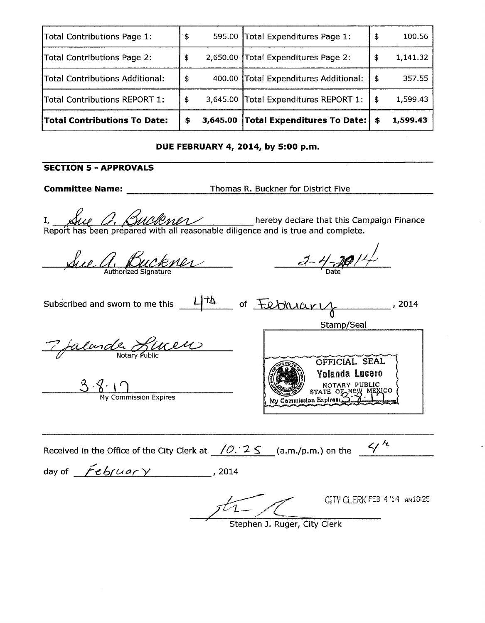| Total Contributions Page 1:         | ۰\$ |          | 595.00 Total Expenditures Page 1:     | \$  | 100.56   |
|-------------------------------------|-----|----------|---------------------------------------|-----|----------|
| Total Contributions Page 2:         | \$  |          | 2,650.00 Total Expenditures Page 2:   | -\$ | 1,141.32 |
| Total Contributions Additional:     | \$  |          | 400.00 Total Expenditures Additional: | \$  | 357.55   |
| Total Contributions REPORT 1:       | \$  | 3,645.00 | Total Expenditures REPORT 1:          | \$  | 1,599.43 |
| <b>Total Contributions To Date:</b> | \$  | 3,645.00 | Total Expenditures To Date:           | \$  | 1,599.43 |

#### **DUE FEBRUARY 4, 2014, by 5:00 p.m.**

## **SECTION 5 - APPROVALS**

**Committee Name:** Thomas R. Buckner for District Five

SECTION 5 - APPROVALS<br>
Committee Name: Thomas R. Buckner for District Five<br>
I, Sule O, SuleMula hereby declare that this Campaign Finance<br>
Report has been prepared with all reasonable diligence and is true and complete.

Sure anthonized Signature  $\frac{a-4-20/11}{a}$ 

Subscribed and sworn to me this  $\frac{1+\Delta}{\Delta}$  of  $\frac{1+\Delta}{\Delta}$  of  $\frac{1+\Delta}{\Delta}$ , 2014 Stamp/Seal 7 falande Lincen OFFICIAL SEAL

Yolanda Lucero<br>NOTARY PUBLIC  $3.8.1$  My Commission Expires STATE OF NEW ME My Commission Expires: Received in the Office of the City Clerk at  $\frac{10.25}{10.25}$  (a.m./p.m.) on the  $\frac{4}{5}$ day of *February*, 2014

CITY CLERK FEB 4'14 AM10:25 Stephen J. Ruger, City Clerk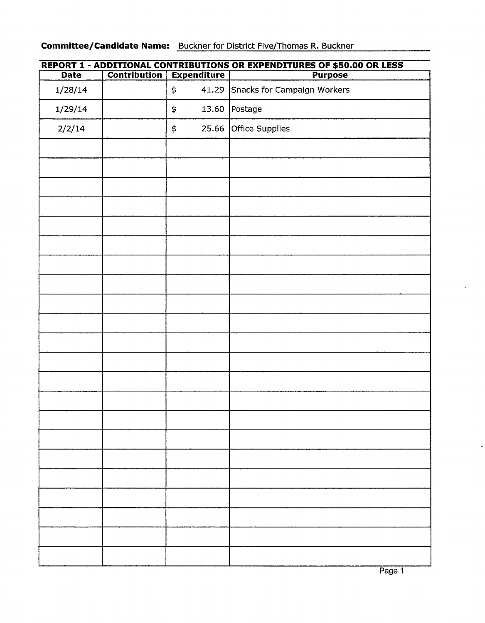## **Committee/Candidate Name:** Buckner for District Five/Thomas R. Buckner

| <u>REPORT 1 - ADDITIONAL CONTRIBUTIONS OR EXPENDITURES OF \$50.00 OR LESS</u> |              |                    |                                   |  |  |
|-------------------------------------------------------------------------------|--------------|--------------------|-----------------------------------|--|--|
| <b>Date</b>                                                                   | Contribution | <b>Expenditure</b> | <b>Purpose</b>                    |  |  |
| 1/28/14                                                                       |              | \$                 | 41.29 Snacks for Campaign Workers |  |  |
| 1/29/14                                                                       |              | 13.60<br>\$        | Postage                           |  |  |
| 2/2/14                                                                        |              | 25.66<br>\$        | Office Supplies                   |  |  |
|                                                                               |              |                    |                                   |  |  |
|                                                                               |              |                    |                                   |  |  |
|                                                                               |              |                    |                                   |  |  |
|                                                                               |              |                    |                                   |  |  |
|                                                                               |              |                    |                                   |  |  |
|                                                                               |              |                    |                                   |  |  |
|                                                                               |              |                    |                                   |  |  |
|                                                                               |              |                    |                                   |  |  |
|                                                                               |              |                    |                                   |  |  |
|                                                                               |              |                    |                                   |  |  |
|                                                                               |              |                    |                                   |  |  |
|                                                                               |              |                    |                                   |  |  |
|                                                                               |              |                    |                                   |  |  |
|                                                                               |              |                    |                                   |  |  |
|                                                                               |              |                    |                                   |  |  |
|                                                                               |              |                    |                                   |  |  |
|                                                                               |              |                    |                                   |  |  |
|                                                                               |              |                    |                                   |  |  |
|                                                                               |              |                    |                                   |  |  |
|                                                                               |              |                    |                                   |  |  |
|                                                                               |              |                    |                                   |  |  |
|                                                                               |              |                    |                                   |  |  |
|                                                                               |              |                    |                                   |  |  |

# **REPORT 1 - ADDITIONAL CONTRIBUTIONS OR EXPENDITURES OF \$50.00 OR LESS**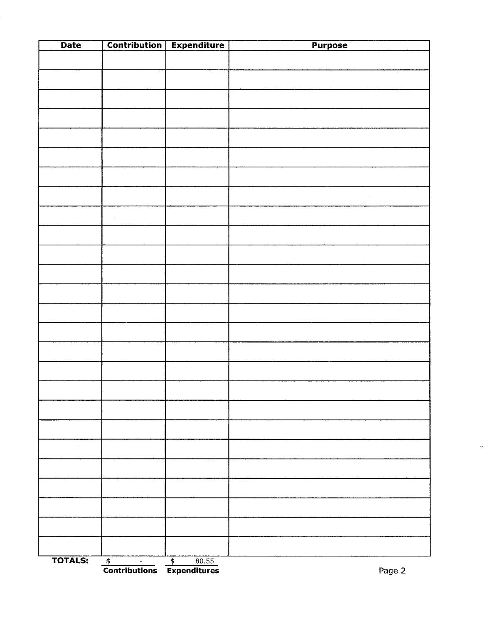| <b>Date</b>    |                                                                                                                                            | <b>Contribution   Expenditure</b> | <b>Purpose</b> |
|----------------|--------------------------------------------------------------------------------------------------------------------------------------------|-----------------------------------|----------------|
|                |                                                                                                                                            |                                   |                |
|                |                                                                                                                                            |                                   |                |
|                |                                                                                                                                            |                                   |                |
|                |                                                                                                                                            |                                   |                |
|                |                                                                                                                                            |                                   |                |
|                |                                                                                                                                            |                                   |                |
|                |                                                                                                                                            |                                   |                |
|                |                                                                                                                                            |                                   |                |
|                |                                                                                                                                            |                                   |                |
|                |                                                                                                                                            |                                   |                |
|                |                                                                                                                                            |                                   |                |
|                |                                                                                                                                            |                                   |                |
|                |                                                                                                                                            |                                   |                |
|                |                                                                                                                                            |                                   |                |
|                |                                                                                                                                            |                                   |                |
|                |                                                                                                                                            |                                   |                |
|                |                                                                                                                                            |                                   |                |
|                |                                                                                                                                            |                                   |                |
|                |                                                                                                                                            |                                   |                |
|                |                                                                                                                                            |                                   |                |
| $\sim$         |                                                                                                                                            |                                   |                |
|                |                                                                                                                                            |                                   |                |
|                |                                                                                                                                            |                                   |                |
|                |                                                                                                                                            |                                   |                |
|                |                                                                                                                                            |                                   |                |
|                |                                                                                                                                            |                                   |                |
| <b>TOTALS:</b> | $\begin{array}{c c}\n\text{\LARGE $\$} & - & \text{\LARGE $\$} & 80.55 \\ \hline\n\text{Contributions} & \text{Expenditures}\n\end{array}$ |                                   | Page 2         |

 $\omega$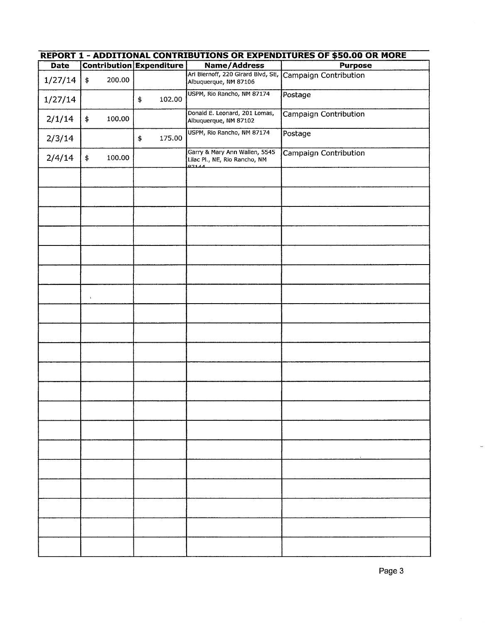| .<br><b>Date</b> | <b><i><u><i></i></u></i></b><br><b>Contribution Expenditure</b> |        |              | <b>Name/Address</b>                                                     | .<br><b>Purpose</b>   |
|------------------|-----------------------------------------------------------------|--------|--------------|-------------------------------------------------------------------------|-----------------------|
|                  |                                                                 |        |              | Ari Biernoff, 220 Girard Blvd, SE,                                      |                       |
| 1/27/14          | $\pmb{\$}$                                                      | 200.00 |              | Albuquerque, NM 87106                                                   | Campaign Contribution |
| 1/27/14          |                                                                 |        | 102.00<br>\$ | USPM, Rio Rancho, NM 87174                                              | Postage               |
| 2/1/14           | \$                                                              | 100.00 |              | Donald E. Leonard, 201 Lomas,<br>Albuquerque, NM 87102                  | Campaign Contribution |
| 2/3/14           |                                                                 |        | 175.00<br>\$ | USPM, Rio Rancho, NM 87174                                              | Postage               |
| 2/4/14           | $\ddagger$                                                      | 100.00 |              | Garry & Mary Ann Wallen, 5545<br>Lilac Pl., NE, Rio Rancho, NM<br>07144 | Campaign Contribution |
|                  |                                                                 |        |              |                                                                         |                       |
|                  |                                                                 |        |              |                                                                         |                       |
|                  |                                                                 |        |              |                                                                         |                       |
|                  |                                                                 |        |              |                                                                         |                       |
|                  |                                                                 |        |              |                                                                         |                       |
|                  |                                                                 |        |              |                                                                         |                       |
|                  | $\mathbf{v}$                                                    |        |              |                                                                         |                       |
|                  |                                                                 |        |              |                                                                         |                       |
|                  |                                                                 |        |              |                                                                         |                       |
|                  |                                                                 |        |              |                                                                         |                       |
|                  |                                                                 |        |              |                                                                         |                       |
|                  |                                                                 |        |              |                                                                         |                       |
|                  |                                                                 |        |              |                                                                         |                       |
|                  |                                                                 |        |              |                                                                         |                       |
|                  |                                                                 |        |              |                                                                         |                       |
|                  |                                                                 |        |              |                                                                         |                       |
|                  |                                                                 |        |              |                                                                         |                       |
|                  |                                                                 |        |              |                                                                         |                       |
|                  |                                                                 |        |              |                                                                         |                       |
|                  |                                                                 |        |              |                                                                         |                       |

## **REPORT 1 - ADDITIONAL CONTRIBUTIONS OR EXPENDITURES OF \$50.00 OR MORE**

j.